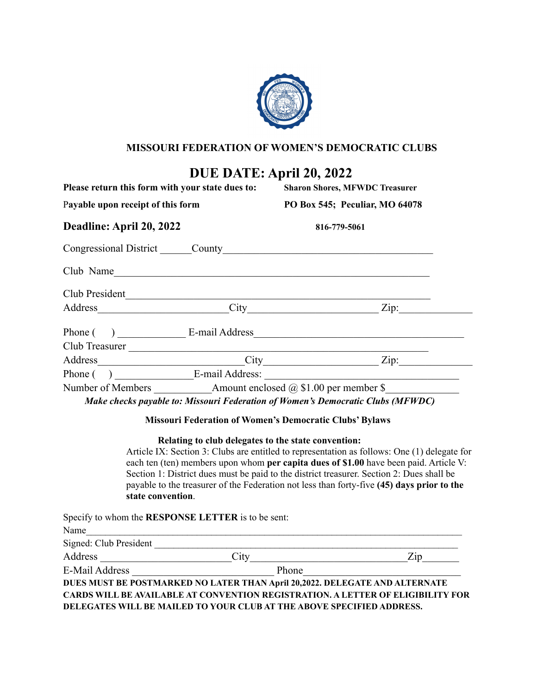

### **MISSOURI FEDERATION OF WOMEN'S DEMOCRATIC CLUBS**

# **DUE DATE: April 20, 2022**

| Please return this form with your state dues to:<br>Payable upon receipt of this form<br>Deadline: April 20, 2022 |                                                                 | <b>Sharon Shores, MFWDC Treasurer</b><br>PO Box 545; Peculiar, MO 64078<br>816-779-5061 |  |  |  |                                      |
|-------------------------------------------------------------------------------------------------------------------|-----------------------------------------------------------------|-----------------------------------------------------------------------------------------|--|--|--|--------------------------------------|
|                                                                                                                   |                                                                 |                                                                                         |  |  |  | Congressional District County County |
|                                                                                                                   |                                                                 |                                                                                         |  |  |  |                                      |
| Club President                                                                                                    |                                                                 |                                                                                         |  |  |  |                                      |
|                                                                                                                   |                                                                 | City Zip:                                                                               |  |  |  |                                      |
|                                                                                                                   |                                                                 | Phone () E-mail Address                                                                 |  |  |  |                                      |
|                                                                                                                   |                                                                 |                                                                                         |  |  |  |                                      |
|                                                                                                                   |                                                                 | City Zip:                                                                               |  |  |  |                                      |
|                                                                                                                   |                                                                 | Phone () E-mail Address:                                                                |  |  |  |                                      |
|                                                                                                                   | Number of Members Amount enclosed $\omega$ \$1.00 per member \$ |                                                                                         |  |  |  |                                      |
|                                                                                                                   |                                                                 | Make checks payable to: Missouri Federation of Women's Democratic Clubs (MFWDC)         |  |  |  |                                      |

#### **Missouri Federation of Women's Democratic Clubs' Bylaws**

#### **Relating to club delegates to the state convention:**

Article IX: Section 3: Clubs are entitled to representation as follows: One (1) delegate for each ten (ten) members upon whom **per capita dues of \$1.00** have been paid. Article V: Section 1: District dues must be paid to the district treasurer. Section 2: Dues shall be payable to the treasurer of the Federation not less than forty-five **(45) days prior to the state convention**.

Specify to whom the **RESPONSE LETTER** is to be sent:

| $\frac{1}{2}$          |                                                                                 |     |
|------------------------|---------------------------------------------------------------------------------|-----|
| Name                   |                                                                                 |     |
| Signed: Club President |                                                                                 |     |
| Address                | City                                                                            | Zip |
| <b>E-Mail Address</b>  | Phone                                                                           |     |
|                        | DUES MUST BE POSTMARKED NO LATER THAN April 20,2022. DELEGATE AND ALTERNATE     |     |
|                        | CARDS WILL BE AVAILABLE AT CONVENTION REGISTRATION. A LETTER OF ELIGIBILITY FOR |     |
|                        | DELEGATES WILL BE MAILED TO YOUR CLUB AT THE ABOVE SPECIFIED ADDRESS.           |     |